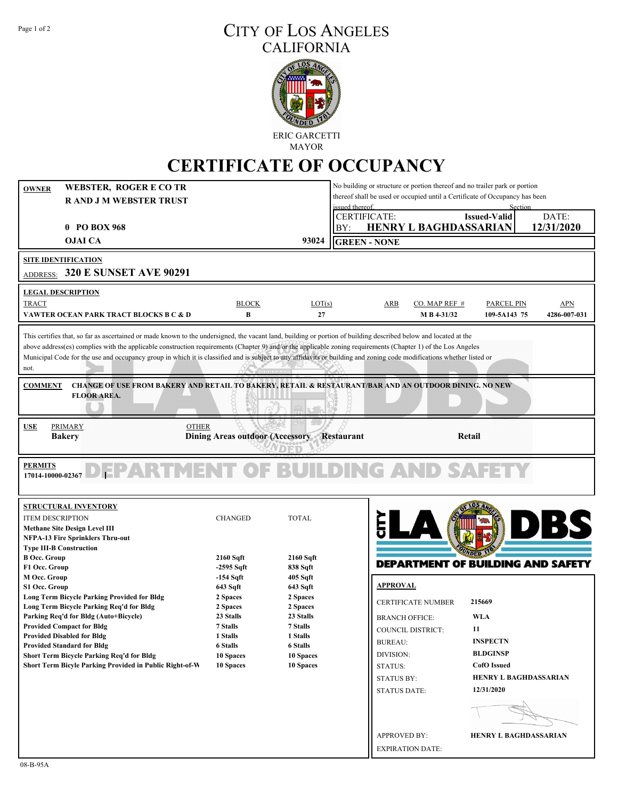## Page 1 of 2 CITY OF LOS ANGELES CALIFORNIA



MAYOR

## **CERTIFICATE OF OCCUPANCY**

| <b>WEBSTER, ROGER E CO TR</b><br><b>OWNER</b>                                                                                                                                                                                                                                                                                                                                                                                                                                                                                                              |                                            | No building or structure or portion thereof and no trailer park or portion<br>thereof shall be used or occupied until a Certificate of Occupancy has been |                                                                                                                  |                     |  |  |
|------------------------------------------------------------------------------------------------------------------------------------------------------------------------------------------------------------------------------------------------------------------------------------------------------------------------------------------------------------------------------------------------------------------------------------------------------------------------------------------------------------------------------------------------------------|--------------------------------------------|-----------------------------------------------------------------------------------------------------------------------------------------------------------|------------------------------------------------------------------------------------------------------------------|---------------------|--|--|
| <b>RAND J M WEBSTER TRUST</b>                                                                                                                                                                                                                                                                                                                                                                                                                                                                                                                              |                                            |                                                                                                                                                           | issued thereof                                                                                                   |                     |  |  |
| 0 PO BOX 968                                                                                                                                                                                                                                                                                                                                                                                                                                                                                                                                               |                                            |                                                                                                                                                           | <b>CERTIFICATE:</b><br><b>Issued-Valid</b><br><b>HENRY L BAGHDASSARIAN</b>                                       | DATE:<br>12/31/2020 |  |  |
|                                                                                                                                                                                                                                                                                                                                                                                                                                                                                                                                                            |                                            |                                                                                                                                                           | BY:                                                                                                              |                     |  |  |
| <b>OJAI CA</b>                                                                                                                                                                                                                                                                                                                                                                                                                                                                                                                                             |                                            | 93024                                                                                                                                                     | <b>GREEN - NONE</b>                                                                                              |                     |  |  |
| <b>SITE IDENTIFICATION</b>                                                                                                                                                                                                                                                                                                                                                                                                                                                                                                                                 |                                            |                                                                                                                                                           |                                                                                                                  |                     |  |  |
| ADDRESS: 320 E SUNSET AVE 90291                                                                                                                                                                                                                                                                                                                                                                                                                                                                                                                            |                                            |                                                                                                                                                           |                                                                                                                  |                     |  |  |
| <b>LEGAL DESCRIPTION</b>                                                                                                                                                                                                                                                                                                                                                                                                                                                                                                                                   |                                            |                                                                                                                                                           |                                                                                                                  |                     |  |  |
| <b>TRACT</b>                                                                                                                                                                                                                                                                                                                                                                                                                                                                                                                                               | <b>BLOCK</b>                               | LOT(s)                                                                                                                                                    | <b>ARB</b><br>CO. MAP REF $#$<br><b>PARCEL PIN</b>                                                               | <b>APN</b>          |  |  |
| VAWTER OCEAN PARK TRACT BLOCKS B C & D                                                                                                                                                                                                                                                                                                                                                                                                                                                                                                                     | $\bf{B}$                                   | 27                                                                                                                                                        | M B 4-31/32<br>109-5A143 75                                                                                      | 4286-007-031        |  |  |
| This certifies that, so far as ascertained or made known to the undersigned, the vacant land, building or portion of building described below and located at the<br>above address(es) complies with the applicable construction requirements (Chapter 9) and/or the applicable zoning requirements (Chapter 1) of the Los Angeles<br>Municipal Code for the use and occupancy group in which it is classified and is subject to any affidavits or building and zoning code modifications whether listed or<br>not.<br><b>COMMENT</b><br><b>FLOOR AREA.</b> |                                            |                                                                                                                                                           | <b>CHANGE OF USE FROM BAKERY AND RETAIL TO BAKERY, RETAIL &amp; RESTAURANT/BAR AND AN OUTDOOR DINING. NO NEW</b> |                     |  |  |
|                                                                                                                                                                                                                                                                                                                                                                                                                                                                                                                                                            |                                            |                                                                                                                                                           |                                                                                                                  |                     |  |  |
| <b>PRIMARY</b><br><b>OTHER</b><br><b>USE</b>                                                                                                                                                                                                                                                                                                                                                                                                                                                                                                               |                                            |                                                                                                                                                           |                                                                                                                  |                     |  |  |
| <b>Bakery</b>                                                                                                                                                                                                                                                                                                                                                                                                                                                                                                                                              | Dining Areas outdoor (Accessory Restaurant |                                                                                                                                                           | Retail                                                                                                           |                     |  |  |
|                                                                                                                                                                                                                                                                                                                                                                                                                                                                                                                                                            |                                            |                                                                                                                                                           |                                                                                                                  |                     |  |  |
| <b>PERMITS</b><br>DEPARTMENT OF BUILDING AND<br>17014-10000-02367                                                                                                                                                                                                                                                                                                                                                                                                                                                                                          |                                            |                                                                                                                                                           |                                                                                                                  |                     |  |  |
| <b>STRUCTURAL INVENTORY</b>                                                                                                                                                                                                                                                                                                                                                                                                                                                                                                                                |                                            |                                                                                                                                                           |                                                                                                                  |                     |  |  |
| <b>ITEM DESCRIPTION</b>                                                                                                                                                                                                                                                                                                                                                                                                                                                                                                                                    | <b>CHANGED</b>                             | <b>TOTAL</b>                                                                                                                                              |                                                                                                                  | $\mathbf{B}$        |  |  |
| <b>Methane Site Design Level III</b>                                                                                                                                                                                                                                                                                                                                                                                                                                                                                                                       |                                            |                                                                                                                                                           |                                                                                                                  |                     |  |  |
| <b>NFPA-13 Fire Sprinklers Thru-out</b>                                                                                                                                                                                                                                                                                                                                                                                                                                                                                                                    |                                            |                                                                                                                                                           |                                                                                                                  |                     |  |  |
| <b>Type III-B Construction</b><br><b>B Occ. Group</b>                                                                                                                                                                                                                                                                                                                                                                                                                                                                                                      | 2160 Sqft                                  | 2160 Sqft                                                                                                                                                 |                                                                                                                  |                     |  |  |
| F1 Occ. Group                                                                                                                                                                                                                                                                                                                                                                                                                                                                                                                                              | $-2595$ Sqft                               | 838 Sqft                                                                                                                                                  | <b>DEPARTMENT OF BUILDING AND SAFETY</b>                                                                         |                     |  |  |
| M Occ. Group                                                                                                                                                                                                                                                                                                                                                                                                                                                                                                                                               | $-154$ Sqft                                | 405 S <sub>q</sub> ft                                                                                                                                     |                                                                                                                  |                     |  |  |
| S1 Occ. Group                                                                                                                                                                                                                                                                                                                                                                                                                                                                                                                                              | 643 Sqft                                   | 643 Sqft                                                                                                                                                  | <b>APPROVAL</b>                                                                                                  |                     |  |  |
| <b>Long Term Bicycle Parking Provided for Bldg</b>                                                                                                                                                                                                                                                                                                                                                                                                                                                                                                         | 2 Spaces                                   | 2 Spaces                                                                                                                                                  | 215669<br><b>CERTIFICATE NUMBER</b>                                                                              |                     |  |  |
| Long Term Bicycle Parking Req'd for Bldg<br>Parking Req'd for Bldg (Auto+Bicycle)                                                                                                                                                                                                                                                                                                                                                                                                                                                                          | 2 Spaces<br>23 Stalls                      | 2 Spaces<br>23 Stalls                                                                                                                                     | <b>WLA</b><br><b>BRANCH OFFICE:</b>                                                                              |                     |  |  |
| <b>Provided Compact for Bldg</b>                                                                                                                                                                                                                                                                                                                                                                                                                                                                                                                           | 7 Stalls                                   | 7 Stalls                                                                                                                                                  |                                                                                                                  |                     |  |  |
| <b>Provided Disabled for Bldg</b>                                                                                                                                                                                                                                                                                                                                                                                                                                                                                                                          | 1 Stalls                                   | 1 Stalls                                                                                                                                                  | 11<br>COUNCIL DISTRICT:                                                                                          |                     |  |  |
| <b>Provided Standard for Bldg</b>                                                                                                                                                                                                                                                                                                                                                                                                                                                                                                                          | <b>6 Stalls</b>                            | <b>6 Stalls</b>                                                                                                                                           | <b>INSPECTN</b><br><b>BUREAU:</b>                                                                                |                     |  |  |
| Short Term Bicycle Parking Req'd for Bldg                                                                                                                                                                                                                                                                                                                                                                                                                                                                                                                  | 10 Spaces                                  | 10 Spaces                                                                                                                                                 | <b>BLDGINSP</b><br>DIVISION:                                                                                     |                     |  |  |
| Short Term Bicyle Parking Provided in Public Right-of-W                                                                                                                                                                                                                                                                                                                                                                                                                                                                                                    | <b>10 Spaces</b>                           | 10 Spaces                                                                                                                                                 | <b>CofO</b> Issued<br>STATUS:                                                                                    |                     |  |  |
|                                                                                                                                                                                                                                                                                                                                                                                                                                                                                                                                                            |                                            |                                                                                                                                                           | <b>HENRY L BAGHDASSARIAN</b><br><b>STATUS BY:</b>                                                                |                     |  |  |
|                                                                                                                                                                                                                                                                                                                                                                                                                                                                                                                                                            |                                            |                                                                                                                                                           | 12/31/2020<br><b>STATUS DATE:</b>                                                                                |                     |  |  |
|                                                                                                                                                                                                                                                                                                                                                                                                                                                                                                                                                            |                                            |                                                                                                                                                           |                                                                                                                  |                     |  |  |
|                                                                                                                                                                                                                                                                                                                                                                                                                                                                                                                                                            |                                            |                                                                                                                                                           |                                                                                                                  |                     |  |  |
|                                                                                                                                                                                                                                                                                                                                                                                                                                                                                                                                                            |                                            |                                                                                                                                                           |                                                                                                                  |                     |  |  |
|                                                                                                                                                                                                                                                                                                                                                                                                                                                                                                                                                            |                                            |                                                                                                                                                           | <b>APPROVED BY:</b><br><b>HENRY L BAGHDASSARIAN</b><br><b>EXPIRATION DATE:</b>                                   |                     |  |  |